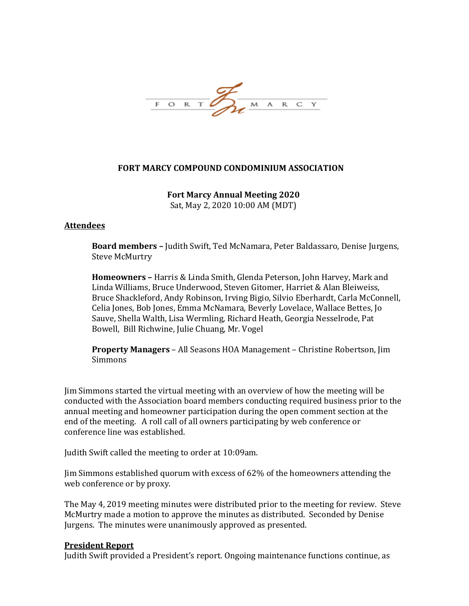

# **FORT MARCY COMPOUND CONDOMINIUM ASSOCIATION**

**Fort Marcy Annual Meeting 2020** Sat, May 2, 2020 10:00 AM (MDT)

#### **Attendees**

**Board members –** Judith Swift, Ted McNamara, Peter Baldassaro, Denise Jurgens, Steve McMurtry

**Homeowners –** Harris & Linda Smith, Glenda Peterson, John Harvey, Mark and Linda Williams, Bruce Underwood, Steven Gitomer, Harriet & Alan Bleiweiss, Bruce Shackleford, Andy Robinson, Irving Bigio, Silvio Eberhardt, Carla McConnell, Celia Jones, Bob Jones, Emma McNamara, Beverly Lovelace, Wallace Bettes, Jo Sauve, Shella Walth, Lisa Wermling, Richard Heath, Georgia Nesselrode, Pat Bowell, Bill Richwine, Julie Chuang, Mr. Vogel

**Property Managers** – All Seasons HOA Management – Christine Robertson, Jim Simmons

Jim Simmons started the virtual meeting with an overview of how the meeting will be conducted with the Association board members conducting required business prior to the annual meeting and homeowner participation during the open comment section at the end of the meeting. A roll call of all owners participating by web conference or conference line was established.

Judith Swift called the meeting to order at 10:09am.

Jim Simmons established quorum with excess of 62% of the homeowners attending the web conference or by proxy.

The May 4, 2019 meeting minutes were distributed prior to the meeting for review. Steve McMurtry made a motion to approve the minutes as distributed. Seconded by Denise Jurgens. The minutes were unanimously approved as presented.

#### **President Report**

Judith Swift provided a President's report. Ongoing maintenance functions continue, as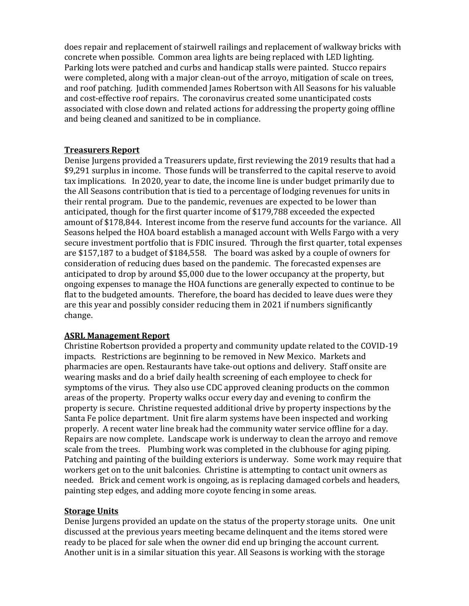does repair and replacement of stairwell railings and replacement of walkway bricks with concrete when possible. Common area lights are being replaced with LED lighting. Parking lots were patched and curbs and handicap stalls were painted. Stucco repairs were completed, along with a major clean-out of the arroyo, mitigation of scale on trees, and roof patching. Judith commended James Robertson with All Seasons for his valuable and cost-effective roof repairs. The coronavirus created some unanticipated costs associated with close down and related actions for addressing the property going offline and being cleaned and sanitized to be in compliance.

#### **Treasurers Report**

Denise Jurgens provided a Treasurers update, first reviewing the 2019 results that had a \$9,291 surplus in income. Those funds will be transferred to the capital reserve to avoid tax implications. In 2020, year to date, the income line is under budget primarily due to the All Seasons contribution that is tied to a percentage of lodging revenues for units in their rental program. Due to the pandemic, revenues are expected to be lower than anticipated, though for the first quarter income of \$179,788 exceeded the expected amount of \$178,844. Interest income from the reserve fund accounts for the variance. All Seasons helped the HOA board establish a managed account with Wells Fargo with a very secure investment portfolio that is FDIC insured. Through the first quarter, total expenses are \$157,187 to a budget of \$184,558. The board was asked by a couple of owners for consideration of reducing dues based on the pandemic. The forecasted expenses are anticipated to drop by around \$5,000 due to the lower occupancy at the property, but ongoing expenses to manage the HOA functions are generally expected to continue to be flat to the budgeted amounts. Therefore, the board has decided to leave dues were they are this year and possibly consider reducing them in 2021 if numbers significantly change.

#### **ASRL Management Report**

Christine Robertson provided a property and community update related to the COVID-19 impacts. Restrictions are beginning to be removed in New Mexico. Markets and pharmacies are open. Restaurants have take-out options and delivery. Staff onsite are wearing masks and do a brief daily health screening of each employee to check for symptoms of the virus. They also use CDC approved cleaning products on the common areas of the property. Property walks occur every day and evening to confirm the property is secure. Christine requested additional drive by property inspections by the Santa Fe police department. Unit fire alarm systems have been inspected and working properly. A recent water line break had the community water service offline for a day. Repairs are now complete. Landscape work is underway to clean the arroyo and remove scale from the trees. Plumbing work was completed in the clubhouse for aging piping. Patching and painting of the building exteriors is underway. Some work may require that workers get on to the unit balconies. Christine is attempting to contact unit owners as needed. Brick and cement work is ongoing, as is replacing damaged corbels and headers, painting step edges, and adding more coyote fencing in some areas.

## **Storage Units**

Denise Jurgens provided an update on the status of the property storage units. One unit discussed at the previous years meeting became delinquent and the items stored were ready to be placed for sale when the owner did end up bringing the account current. Another unit is in a similar situation this year. All Seasons is working with the storage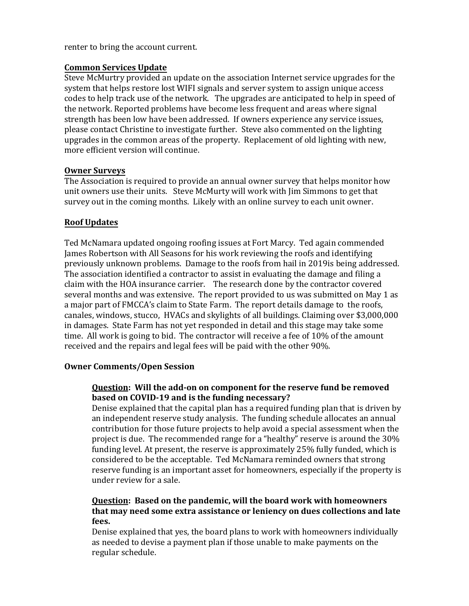renter to bring the account current.

## **Common Services Update**

Steve McMurtry provided an update on the association Internet service upgrades for the system that helps restore lost WIFI signals and server system to assign unique access codes to help track use of the network. The upgrades are anticipated to help in speed of the network. Reported problems have become less frequent and areas where signal strength has been low have been addressed. If owners experience any service issues, please contact Christine to investigate further. Steve also commented on the lighting upgrades in the common areas of the property. Replacement of old lighting with new, more efficient version will continue.

#### **Owner Surveys**

The Association is required to provide an annual owner survey that helps monitor how unit owners use their units. Steve McMurty will work with Jim Simmons to get that survey out in the coming months. Likely with an online survey to each unit owner.

# **Roof Updates**

Ted McNamara updated ongoing roofing issues at Fort Marcy. Ted again commended James Robertson with All Seasons for his work reviewing the roofs and identifying previously unknown problems. Damage to the roofs from hail in 2019is being addressed. The association identified a contractor to assist in evaluating the damage and filing a claim with the HOA insurance carrier. The research done by the contractor covered several months and was extensive. The report provided to us was submitted on May 1 as a major part of FMCCA's claim to State Farm. The report details damage to the roofs, canales, windows, stucco, HVACs and skylights of all buildings. Claiming over \$3,000,000 in damages. State Farm has not yet responded in detail and this stage may take some time. All work is going to bid. The contractor will receive a fee of 10% of the amount received and the repairs and legal fees will be paid with the other 90%.

#### **Owner Comments/Open Session**

# **Question: Will the add-on on component for the reserve fund be removed based on COVID-19 and is the funding necessary?**

Denise explained that the capital plan has a required funding plan that is driven by an independent reserve study analysis. The funding schedule allocates an annual contribution for those future projects to help avoid a special assessment when the project is due. The recommended range for a "healthy" reserve is around the 30% funding level. At present, the reserve is approximately 25% fully funded, which is considered to be the acceptable. Ted McNamara reminded owners that strong reserve funding is an important asset for homeowners, especially if the property is under review for a sale.

# **Question: Based on the pandemic, will the board work with homeowners that may need some extra assistance or leniency on dues collections and late fees.**

Denise explained that yes, the board plans to work with homeowners individually as needed to devise a payment plan if those unable to make payments on the regular schedule.